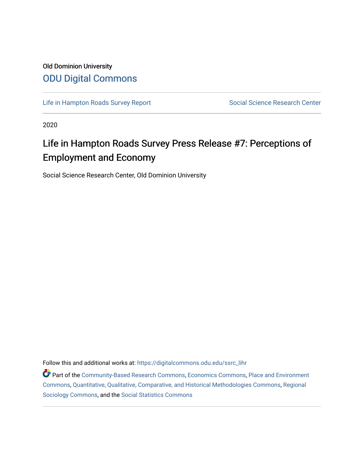## Old Dominion University [ODU Digital Commons](https://digitalcommons.odu.edu/)

[Life in Hampton Roads Survey Report](https://digitalcommons.odu.edu/ssrc_lihr) Social Science Research Center

2020

# Life in Hampton Roads Survey Press Release #7: Perceptions of Employment and Economy

Social Science Research Center, Old Dominion University

Follow this and additional works at: [https://digitalcommons.odu.edu/ssrc\\_lihr](https://digitalcommons.odu.edu/ssrc_lihr?utm_source=digitalcommons.odu.edu%2Fssrc_lihr%2F56&utm_medium=PDF&utm_campaign=PDFCoverPages)

Part of the [Community-Based Research Commons](http://network.bepress.com/hgg/discipline/1047?utm_source=digitalcommons.odu.edu%2Fssrc_lihr%2F56&utm_medium=PDF&utm_campaign=PDFCoverPages), [Economics Commons,](http://network.bepress.com/hgg/discipline/340?utm_source=digitalcommons.odu.edu%2Fssrc_lihr%2F56&utm_medium=PDF&utm_campaign=PDFCoverPages) [Place and Environment](http://network.bepress.com/hgg/discipline/424?utm_source=digitalcommons.odu.edu%2Fssrc_lihr%2F56&utm_medium=PDF&utm_campaign=PDFCoverPages) [Commons](http://network.bepress.com/hgg/discipline/424?utm_source=digitalcommons.odu.edu%2Fssrc_lihr%2F56&utm_medium=PDF&utm_campaign=PDFCoverPages), [Quantitative, Qualitative, Comparative, and Historical Methodologies Commons](http://network.bepress.com/hgg/discipline/423?utm_source=digitalcommons.odu.edu%2Fssrc_lihr%2F56&utm_medium=PDF&utm_campaign=PDFCoverPages), [Regional](http://network.bepress.com/hgg/discipline/427?utm_source=digitalcommons.odu.edu%2Fssrc_lihr%2F56&utm_medium=PDF&utm_campaign=PDFCoverPages) [Sociology Commons](http://network.bepress.com/hgg/discipline/427?utm_source=digitalcommons.odu.edu%2Fssrc_lihr%2F56&utm_medium=PDF&utm_campaign=PDFCoverPages), and the [Social Statistics Commons](http://network.bepress.com/hgg/discipline/1275?utm_source=digitalcommons.odu.edu%2Fssrc_lihr%2F56&utm_medium=PDF&utm_campaign=PDFCoverPages)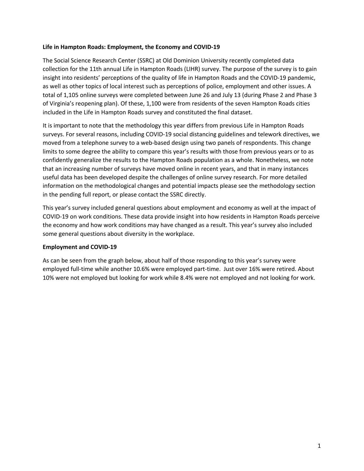#### **Life in Hampton Roads: Employment, the Economy and COVID-19**

The Social Science Research Center (SSRC) at Old Dominion University recently completed data collection for the 11th annual Life in Hampton Roads (LIHR) survey. The purpose of the survey is to gain insight into residents' perceptions of the quality of life in Hampton Roads and the COVID-19 pandemic, as well as other topics of local interest such as perceptions of police, employment and other issues. A total of 1,105 online surveys were completed between June 26 and July 13 (during Phase 2 and Phase 3 of Virginia's reopening plan). Of these, 1,100 were from residents of the seven Hampton Roads cities included in the Life in Hampton Roads survey and constituted the final dataset.

It is important to note that the methodology this year differs from previous Life in Hampton Roads surveys. For several reasons, including COVID-19 social distancing guidelines and telework directives, we moved from a telephone survey to a web-based design using two panels of respondents. This change limits to some degree the ability to compare this year's results with those from previous years or to as confidently generalize the results to the Hampton Roads population as a whole. Nonetheless, we note that an increasing number of surveys have moved online in recent years, and that in many instances useful data has been developed despite the challenges of online survey research. For more detailed information on the methodological changes and potential impacts please see the methodology section in the pending full report, or please contact the SSRC directly.

This year's survey included general questions about employment and economy as well at the impact of COVID-19 on work conditions. These data provide insight into how residents in Hampton Roads perceive the economy and how work conditions may have changed as a result. This year's survey also included some general questions about diversity in the workplace.

#### **Employment and COVID-19**

As can be seen from the graph below, about half of those responding to this year's survey were employed full-time while another 10.6% were employed part-time. Just over 16% were retired. About 10% were not employed but looking for work while 8.4% were not employed and not looking for work.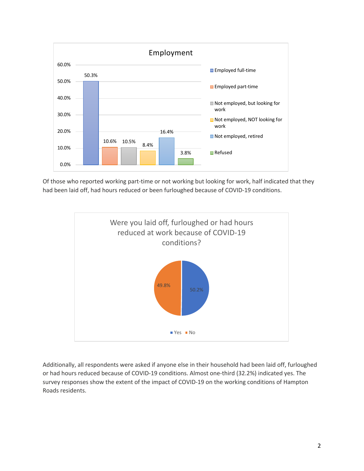

Of those who reported working part-time or not working but looking for work, half indicated that they had been laid off, had hours reduced or been furloughed because of COVID-19 conditions.



Additionally, all respondents were asked if anyone else in their household had been laid off, furloughed or had hours reduced because of COVID-19 conditions. Almost one-third (32.2%) indicated yes. The survey responses show the extent of the impact of COVID-19 on the working conditions of Hampton Roads residents.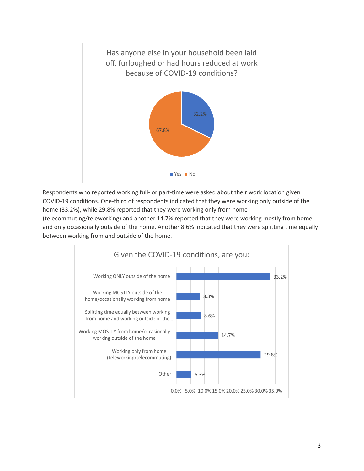

Respondents who reported working full- or part-time were asked about their work location given COVID-19 conditions. One-third of respondents indicated that they were working only outside of the home (33.2%), while 29.8% reported that they were working only from home

(telecommuting/teleworking) and another 14.7% reported that they were working mostly from home and only occasionally outside of the home. Another 8.6% indicated that they were splitting time equally between working from and outside of the home.

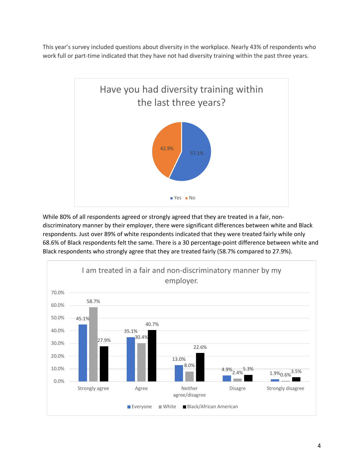This year's survey included questions about diversity in the workplace. Nearly 43% of respondents who work full or part-time indicated that they have not had diversity training within the past three years.



While 80% of all respondents agreed or strongly agreed that they are treated in a fair, nondiscriminatory manner by their employer, there were significant differences between white and Black respondents. Just over 89% of white respondents indicated that they were treated fairly while only 68.6% of Black respondents felt the same. There is a 30 percentage-point difference between white and Black respondents who strongly agree that they are treated fairly (58.7% compared to 27.9%).

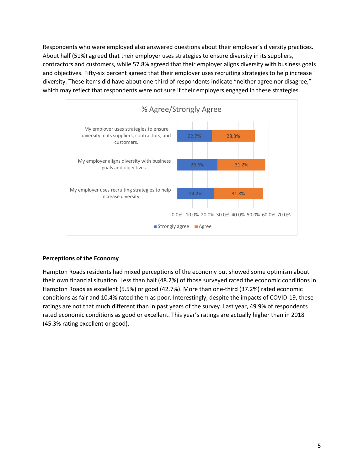Respondents who were employed also answered questions about their employer's diversity practices. About half (51%) agreed that their employer uses strategies to ensure diversity in its suppliers, contractors and customers, while 57.8% agreed that their employer aligns diversity with business goals and objectives. Fifty-six percent agreed that their employer uses recruiting strategies to help increase diversity. These items did have about one-third of respondents indicate "neither agree nor disagree," which may reflect that respondents were not sure if their employers engaged in these strategies.



### **Perceptions of the Economy**

Hampton Roads residents had mixed perceptions of the economy but showed some optimism about their own financial situation. Less than half (48.2%) of those surveyed rated the economic conditions in Hampton Roads as excellent (5.5%) or good (42.7%). More than one-third (37.2%) rated economic conditions as fair and 10.4% rated them as poor. Interestingly, despite the impacts of COVID-19, these ratings are not that much different than in past years of the survey. Last year, 49.9% of respondents rated economic conditions as good or excellent. This year's ratings are actually higher than in 2018 (45.3% rating excellent or good).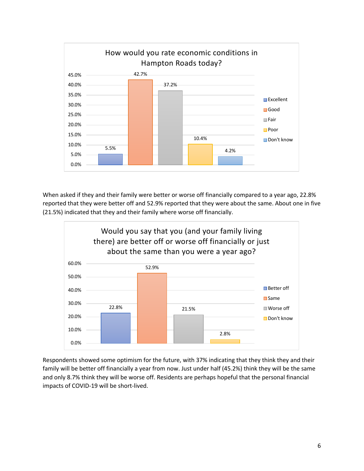

When asked if they and their family were better or worse off financially compared to a year ago, 22.8% reported that they were better off and 52.9% reported that they were about the same. About one in five (21.5%) indicated that they and their family where worse off financially.



Respondents showed some optimism for the future, with 37% indicating that they think they and their family will be better off financially a year from now. Just under half (45.2%) think they will be the same and only 8.7% think they will be worse off. Residents are perhaps hopeful that the personal financial impacts of COVID-19 will be short-lived.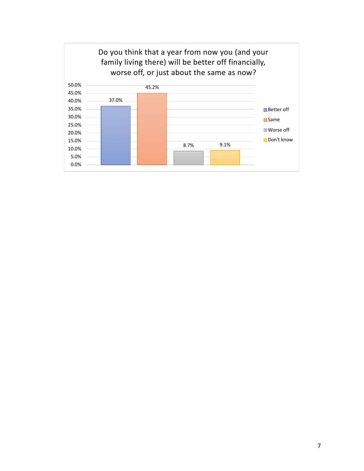